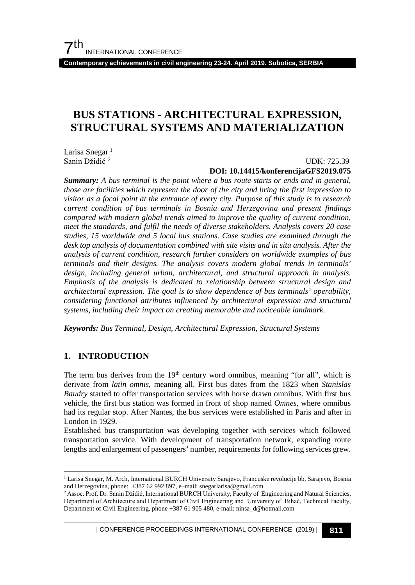**Contemporary achievements in civil engineering 23-24. April 2019. Subotica, SERBIA**

## **BUS STATIONS - ARCHITECTURAL EXPRESSION, STRUCTURAL SYSTEMS AND MATERIALIZATION**

Larisa Snegar $<sup>1</sup>$  $<sup>1</sup>$  $<sup>1</sup>$ </sup> Sanin Džidić [2](#page-0-1)

#### UDK: 725.39 **DOI: 10.14415/konferencijaGFS2019.075**

*Summary: A bus terminal is the point where a bus route starts or ends and in general, those are facilities which represent the door of the city and bring the first impression to visitor as a focal point at the entrance of every city. Purpose of this study is to research current condition of bus terminals in Bosnia and Herzegovina and present findings compared with modern global trends aimed to improve the quality of current condition, meet the standards, and fulfil the needs of diverse stakeholders. Analysis covers 20 case studies, 15 worldwide and 5 local bus stations. Case studies are examined through the desk top analysis of documentation combined with site visits and in situ analysis. After the analysis of current condition, research further considers on worldwide examples of bus terminals and their designs. The analysis covers modern global trends in terminals' design, including general urban, architectural, and structural approach in analysis. Emphasis of the analysis is dedicated to relationship between structural design and architectural expression. The goal is to show dependence of bus terminals' operability, considering functional attributes influenced by architectural expression and structural systems, including their impact on creating memorable and noticeable landmark.*

*Keywords: Bus Terminal, Design, Architectural Expression, Structural Systems*

## **1. INTRODUCTION**

The term bus derives from the  $19<sup>th</sup>$  century word omnibus, meaning "for all", which is derivate from *latin omnis*, meaning all. First bus dates from the 1823 when *Stanislas Baudry* started to offer transportation services with horse drawn omnibus. With first bus vehicle, the first bus station was formed in front of shop named *Omnes*, where omnibus had its regular stop. After Nantes, the bus services were established in Paris and after in London in 1929.

Established bus transportation was developing together with services which followed transportation service. With development of transportation network, expanding route lengths and enlargement of passengers' number, requirements for following services grew.

| CONFERENCE PROCEEDINGS INTERNATIONAL CONFERENCE (2019) <sup>|</sup>**811**

<span id="page-0-0"></span> <sup>1</sup> Larisa Snegar, M. Arch, International BURCH University Sarajevo, Francuske revolucije bb, Sarajevo, Bosnia and Herzegovina, phone: +387 62 992 897, e–mail: snegarlarisa@gmail.com

<span id="page-0-1"></span><sup>&</sup>lt;sup>2</sup> Assoc. Prof. Dr. Sanin Džidić, International BURCH University, Faculty of Engineering and Natural Sciencies, Department of Architecture and Department of Civil Engineering and University of Bihać, Technical Faculty, Department of Civil Engineering, phone +387 61 905 480, e-mail: ninsa\_d@hotmail.com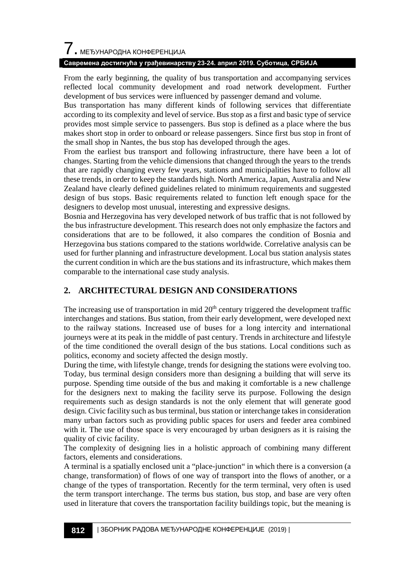# $\overline{\phantom{a}}$ . МЕЂУНАРОДНА КОНФЕРЕНЦИЈА

#### **Савремена достигнућа у грађевинарству 23-24. април 2019. Суботица, СРБИЈА**

From the early beginning, the quality of bus transportation and accompanying services reflected local community development and road network development. Further development of bus services were influenced by passenger demand and volume.

Bus transportation has many different kinds of following services that differentiate according to its complexity and level of service. Bus stop as a first and basic type of service provides most simple service to passengers. Bus stop is defined as a place where the bus makes short stop in order to onboard or release passengers. Since first bus stop in front of the small shop in Nantes, the bus stop has developed through the ages.

From the earliest bus transport and following infrastructure, there have been a lot of changes. Starting from the vehicle dimensions that changed through the years to the trends that are rapidly changing every few years, stations and municipalities have to follow all these trends, in order to keep the standards high. North America, Japan, Australia and New Zealand have clearly defined guidelines related to minimum requirements and suggested design of bus stops. Basic requirements related to function left enough space for the designers to develop most unusual, interesting and expressive designs.

Bosnia and Herzegovina has very developed network of bus traffic that is not followed by the bus infrastructure development. This research does not only emphasize the factors and considerations that are to be followed, it also compares the condition of Bosnia and Herzegovina bus stations compared to the stations worldwide. Correlative analysis can be used for further planning and infrastructure development. Local bus station analysis states the current condition in which are the bus stations and its infrastructure, which makes them comparable to the international case study analysis.

## **2. ARCHITECTURAL DESIGN AND CONSIDERATIONS**

The increasing use of transportation in mid  $20<sup>th</sup>$  century triggered the development traffic interchanges and stations. Bus station, from their early development, were developed next to the railway stations. Increased use of buses for a long intercity and international journeys were at its peak in the middle of past century. Trends in architecture and lifestyle of the time conditioned the overall design of the bus stations. Local conditions such as politics, economy and society affected the design mostly.

During the time, with lifestyle change, trends for designing the stations were evolving too. Today, bus terminal design considers more than designing a building that will serve its purpose. Spending time outside of the bus and making it comfortable is a new challenge for the designers next to making the facility serve its purpose. Following the design requirements such as design standards is not the only element that will generate good design. Civic facility such as bus terminal, bus station or interchange takes in consideration many urban factors such as providing public spaces for users and feeder area combined with it. The use of those space is very encouraged by urban designers as it is raising the quality of civic facility.

The complexity of designing lies in a holistic approach of combining many different factors, elements and considerations.

A terminal is a spatially enclosed unit a "place-junction" in which there is a conversion (a change, transformation) of flows of one way of transport into the flows of another, or a change of the types of transportation. Recently for the term terminal, very often is used the term transport interchange. The terms bus station, bus stop, and base are very often used in literature that covers the transportation facility buildings topic, but the meaning is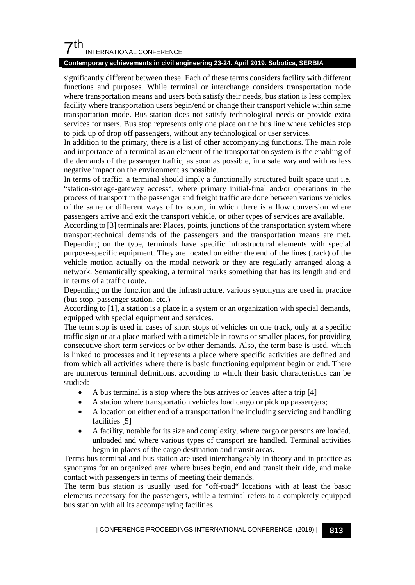## $7<sup>th</sup>$ INTERNATIONAL CONFERENCE

#### **Contemporary achievements in civil engineering 23-24. April 2019. Subotica, SERBIA**

significantly different between these. Each of these terms considers facility with different functions and purposes. While terminal or interchange considers transportation node where transportation means and users both satisfy their needs, bus station is less complex facility where transportation users begin/end or change their transport vehicle within same transportation mode. Bus station does not satisfy technological needs or provide extra services for users. Bus stop represents only one place on the bus line where vehicles stop to pick up of drop off passengers, without any technological or user services.

In addition to the primary, there is a list of other accompanying functions. The main role and importance of a terminal as an element of the transportation system is the enabling of the demands of the passenger traffic, as soon as possible, in a safe way and with as less negative impact on the environment as possible.

In terms of traffic, a terminal should imply a functionally structured built space unit i.e. "station-storage-gateway access", where primary initial-final and/or operations in the process of transport in the passenger and freight traffic are done between various vehicles of the same or different ways of transport, in which there is a flow conversion where passengers arrive and exit the transport vehicle, or other types of services are available.

According to [3] terminals are: Places, points, junctions of the transportation system where transport-technical demands of the passengers and the transportation means are met. Depending on the type, terminals have specific infrastructural elements with special purpose-specific equipment. They are located on either the end of the lines (track) of the vehicle motion actually on the modal network or they are regularly arranged along a network. Semantically speaking, a terminal marks something that has its length and end in terms of a traffic route.

Depending on the function and the infrastructure, various synonyms are used in practice (bus stop, passenger station, etc.)

According to [1], a station is a place in a system or an organization with special demands, equipped with special equipment and services.

The term stop is used in cases of short stops of vehicles on one track, only at a specific traffic sign or at a place marked with a timetable in towns or smaller places, for providing consecutive short-term services or by other demands. Also, the term base is used, which is linked to processes and it represents a place where specific activities are defined and from which all activities where there is basic functioning equipment begin or end. There are numerous terminal definitions, according to which their basic characteristics can be studied:

- A bus terminal is a stop where the bus arrives or leaves after a trip [4]
- A station where transportation vehicles load cargo or pick up passengers;
- A location on either end of a transportation line including servicing and handling facilities [5]
- A facility, notable for its size and complexity, where cargo or persons are loaded, unloaded and where various types of transport are handled. Terminal activities begin in places of the cargo destination and transit areas.

Terms bus terminal and bus station are used interchangeably in theory and in practice as synonyms for an organized area where buses begin, end and transit their ride, and make contact with passengers in terms of meeting their demands.

The term bus station is usually used for "off-road" locations with at least the basic elements necessary for the passengers, while a terminal refers to a completely equipped bus station with all its accompanying facilities.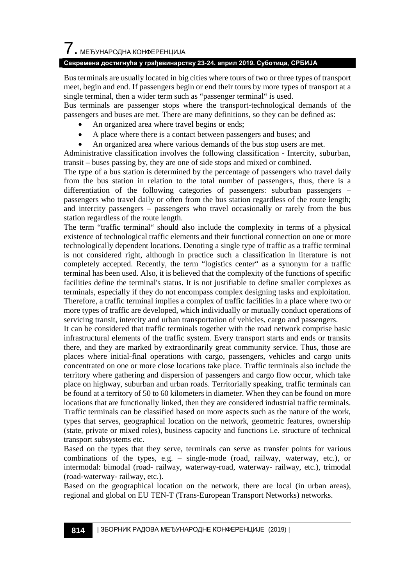### **Савремена достигнућа у грађевинарству 23-24. април 2019. Суботица, СРБИЈА**

Bus terminals are usually located in big cities where tours of two or three types of transport meet, begin and end. If passengers begin or end their tours by more types of transport at a single terminal, then a wider term such as "passenger terminal" is used.

Bus terminals are passenger stops where the transport-technological demands of the passengers and buses are met. There are many definitions, so they can be defined as:

- An organized area where travel begins or ends;
- A place where there is a contact between passengers and buses; and
- An organized area where various demands of the bus stop users are met.

Administrative classification involves the following classification - Intercity, suburban, transit – buses passing by, they are one of side stops and mixed or combined.

The type of a bus station is determined by the percentage of passengers who travel daily from the bus station in relation to the total number of passengers, thus, there is a differentiation of the following categories of passengers: suburban passengers – passengers who travel daily or often from the bus station regardless of the route length; and intercity passengers – passengers who travel occasionally or rarely from the bus station regardless of the route length.

The term "traffic terminal" should also include the complexity in terms of a physical existence of technological traffic elements and their functional connection on one or more technologically dependent locations. Denoting a single type of traffic as a traffic terminal is not considered right, although in practice such a classification in literature is not completely accepted. Recently, the term "logistics center" as a synonym for a traffic terminal has been used. Also, it is believed that the complexity of the functions of specific facilities define the terminal's status. It is not justifiable to define smaller complexes as terminals, especially if they do not encompass complex designing tasks and exploitation. Therefore, a traffic terminal implies a complex of traffic facilities in a place where two or more types of traffic are developed, which individually or mutually conduct operations of servicing transit, intercity and urban transportation of vehicles, cargo and passengers.

It can be considered that traffic terminals together with the road network comprise basic infrastructural elements of the traffic system. Every transport starts and ends or transits there, and they are marked by extraordinarily great community service. Thus, those are places where initial-final operations with cargo, passengers, vehicles and cargo units concentrated on one or more close locations take place. Traffic terminals also include the territory where gathering and dispersion of passengers and cargo flow occur, which take place on highway, suburban and urban roads. Territorially speaking, traffic terminals can be found at a territory of 50 to 60 kilometers in diameter. When they can be found on more locations that are functionally linked, then they are considered industrial traffic terminals. Traffic terminals can be classified based on more aspects such as the nature of the work, types that serves, geographical location on the network, geometric features, ownership (state, private or mixed roles), business capacity and functions i.e. structure of technical transport subsystems etc.

Based on the types that they serve, terminals can serve as transfer points for various combinations of the types, e.g. – single-mode (road, railway, waterway, etc.), or intermodal: bimodal (road- railway, waterway-road, waterway- railway, etc.), trimodal (road-waterway- railway, etc.).

Based on the geographical location on the network, there are local (in urban areas), regional and global on EU TEN-T (Trans-European Transport Networks) networks.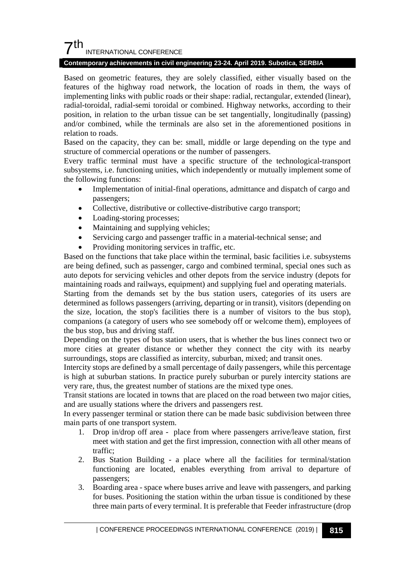## $7<sup>th</sup>$ INTERNATIONAL CONFERENCE

#### **Contemporary achievements in civil engineering 23-24. April 2019. Subotica, SERBIA**

Based on geometric features, they are solely classified, either visually based on the features of the highway road network, the location of roads in them, the ways of implementing links with public roads or their shape: radial, rectangular, extended (linear), radial-toroidal, radial-semi toroidal or combined. Highway networks, according to their position, in relation to the urban tissue can be set tangentially, longitudinally (passing) and/or combined, while the terminals are also set in the aforementioned positions in relation to roads.

Based on the capacity, they can be: small, middle or large depending on the type and structure of commercial operations or the number of passengers.

Every traffic terminal must have a specific structure of the technological-transport subsystems, i.e. functioning unities, which independently or mutually implement some of the following functions:

- Implementation of initial-final operations, admittance and dispatch of cargo and passengers;
- Collective, distributive or collective-distributive cargo transport;
- Loading-storing processes;
- Maintaining and supplying vehicles;
- Servicing cargo and passenger traffic in a material-technical sense; and
- Providing monitoring services in traffic, etc.

Based on the functions that take place within the terminal, basic facilities i.e. subsystems are being defined, such as passenger, cargo and combined terminal, special ones such as auto depots for servicing vehicles and other depots from the service industry (depots for maintaining roads and railways, equipment) and supplying fuel and operating materials. Starting from the demands set by the bus station users, categories of its users are determined as follows passengers (arriving, departing or in transit), visitors (depending on the size, location, the stop's facilities there is a number of visitors to the bus stop), companions (a category of users who see somebody off or welcome them), employees of the bus stop, bus and driving staff.

Depending on the types of bus station users, that is whether the bus lines connect two or more cities at greater distance or whether they connect the city with its nearby surroundings, stops are classified as intercity, suburban, mixed; and transit ones.

Intercity stops are defined by a small percentage of daily passengers, while this percentage is high at suburban stations. In practice purely suburban or purely intercity stations are very rare, thus, the greatest number of stations are the mixed type ones.

Transit stations are located in towns that are placed on the road between two major cities, and are usually stations where the drivers and passengers rest.

In every passenger terminal or station there can be made basic subdivision between three main parts of one transport system.

- 1. Drop in/drop off area place from where passengers arrive/leave station, first meet with station and get the first impression, connection with all other means of traffic;
- 2. Bus Station Building a place where all the facilities for terminal/station functioning are located, enables everything from arrival to departure of passengers;
- 3. Boarding area space where buses arrive and leave with passengers, and parking for buses. Positioning the station within the urban tissue is conditioned by these three main parts of every terminal. It is preferable that Feeder infrastructure (drop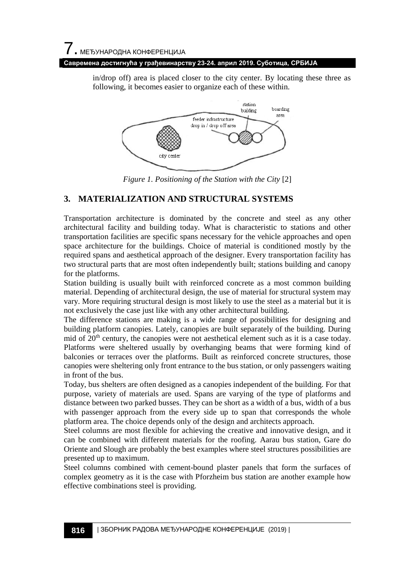## 7. МЕЂУНАРОДНА КОНФЕРЕНЦИЈА

#### **Савремена достигнућа у грађевинарству 23-24. април 2019. Суботица, СРБИЈА**

in/drop off) area is placed closer to the city center. By locating these three as following, it becomes easier to organize each of these within.



*Figure 1. Positioning of the Station with the City* [2]

## **3. MATERIALIZATION AND STRUCTURAL SYSTEMS**

Transportation architecture is dominated by the concrete and steel as any other architectural facility and building today. What is characteristic to stations and other transportation facilities are specific spans necessary for the vehicle approaches and open space architecture for the buildings. Choice of material is conditioned mostly by the required spans and aesthetical approach of the designer. Every transportation facility has two structural parts that are most often independently built; stations building and canopy for the platforms.

Station building is usually built with reinforced concrete as a most common building material. Depending of architectural design, the use of material for structural system may vary. More requiring structural design is most likely to use the steel as a material but it is not exclusively the case just like with any other architectural building.

The difference stations are making is a wide range of possibilities for designing and building platform canopies. Lately, canopies are built separately of the building. During mid of  $20<sup>th</sup>$  century, the canopies were not aesthetical element such as it is a case today. Platforms were sheltered usually by overhanging beams that were forming kind of balconies or terraces over the platforms. Built as reinforced concrete structures, those canopies were sheltering only front entrance to the bus station, or only passengers waiting in front of the bus.

Today, bus shelters are often designed as a canopies independent of the building. For that purpose, variety of materials are used. Spans are varying of the type of platforms and distance between two parked busses. They can be short as a width of a bus, width of a bus with passenger approach from the every side up to span that corresponds the whole platform area. The choice depends only of the design and architects approach.

Steel columns are most flexible for achieving the creative and innovative design, and it can be combined with different materials for the roofing. Aarau bus station, Gare do Oriente and Slough are probably the best examples where steel structures possibilities are presented up to maximum.

Steel columns combined with cement-bound plaster panels that form the surfaces of complex geometry as it is the case with Pforzheim bus station are another example how effective combinations steel is providing.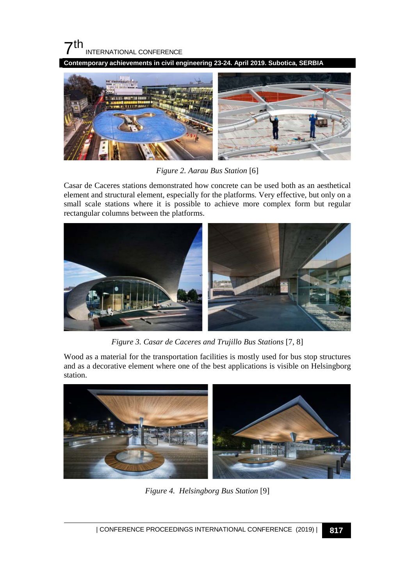

**Contemporary achievements in civil engineering 23-24. April 2019. Subotica, SERBIA**



*Figure 2. Aarau Bus Station* [6]

Casar de Caceres stations demonstrated how concrete can be used both as an aesthetical element and structural element, especially for the platforms. Very effective, but only on a small scale stations where it is possible to achieve more complex form but regular rectangular columns between the platforms.



*Figure 3. Casar de Caceres and Trujillo Bus Stations* [7, 8]

Wood as a material for the transportation facilities is mostly used for bus stop structures and as a decorative element where one of the best applications is visible on Helsingborg station.



*Figure 4. Helsingborg Bus Station* [9]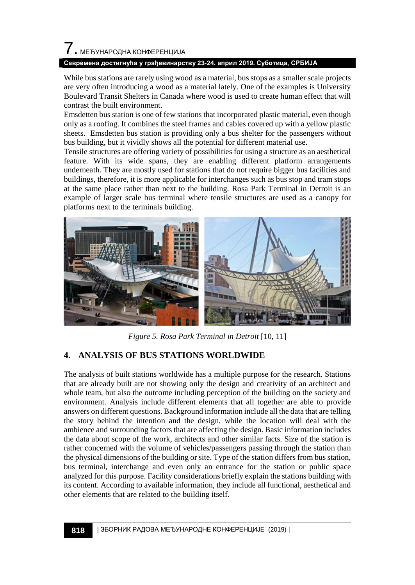# 7. МЕЂУНАРОДНА КОНФЕРЕНЦИЈА

### **Савремена достигнућа у грађевинарству 23-24. април 2019. Суботица, СРБИЈА**

While bus stations are rarely using wood as a material, bus stops as a smaller scale projects are very often introducing a wood as a material lately. One of the examples is University Boulevard Transit Shelters in Canada where wood is used to create human effect that will contrast the built environment.

Emsdetten bus station is one of few stations that incorporated plastic material, even though only as a roofing. It combines the steel frames and cables covered up with a yellow plastic sheets. Emsdetten bus station is providing only a bus shelter for the passengers without bus building, but it vividly shows all the potential for different material use.

Tensile structures are offering variety of possibilities for using a structure as an aesthetical feature. With its wide spans, they are enabling different platform arrangements underneath. They are mostly used for stations that do not require bigger bus facilities and buildings, therefore, it is more applicable for interchanges such as bus stop and tram stops at the same place rather than next to the building. Rosa Park Terminal in Detroit is an example of larger scale bus terminal where tensile structures are used as a canopy for platforms next to the terminals building.



*Figure 5. Rosa Park Terminal in Detroit* [10, 11]

## **4. ANALYSIS OF BUS STATIONS WORLDWIDE**

The analysis of built stations worldwide has a multiple purpose for the research. Stations that are already built are not showing only the design and creativity of an architect and whole team, but also the outcome including perception of the building on the society and environment. Analysis include different elements that all together are able to provide answers on different questions. Background information include all the data that are telling the story behind the intention and the design, while the location will deal with the ambience and surrounding factors that are affecting the design. Basic information includes the data about scope of the work, architects and other similar facts. Size of the station is rather concerned with the volume of vehicles/passengers passing through the station than the physical dimensions of the building or site. Type of the station differs from bus station, bus terminal, interchange and even only an entrance for the station or public space analyzed for this purpose. Facility considerations briefly explain the stations building with its content. According to available information, they include all functional, aesthetical and other elements that are related to the building itself.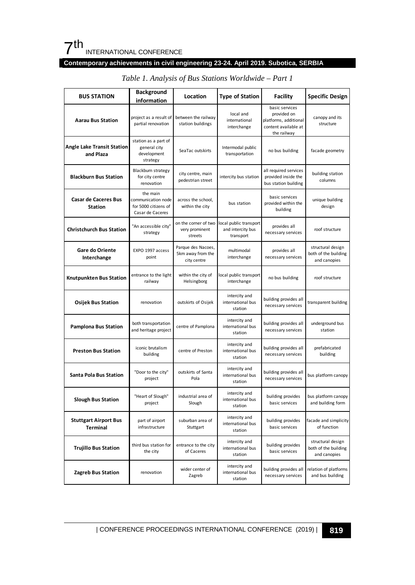# 7th INTERNATIONAL CONFERENCE

## **Contemporary achievements in civil engineering 23-24. April 2019. Subotica, SERBIA**

| <b>BUS STATION</b>                              | <b>Background</b><br>information                                           | Location                                               | <b>Type of Station</b>                                  | <b>Facility</b>                                                                               | <b>Specific Design</b>                                    |
|-------------------------------------------------|----------------------------------------------------------------------------|--------------------------------------------------------|---------------------------------------------------------|-----------------------------------------------------------------------------------------------|-----------------------------------------------------------|
| <b>Aarau Bus Station</b>                        | project as a result of<br>partial renovation                               | between the railway<br>station buildings               | local and<br>international<br>interchange               | basic services<br>provided on<br>platforms, additional<br>content available at<br>the railway | canopy and its<br>structure                               |
| Angle Lake Transit Station<br>and Plaza         | station as a part of<br>general city<br>development<br>strategy            | SeaTac outskirts                                       | Intermodal public<br>transportation                     | no bus building                                                                               | facade geometry                                           |
| <b>Blackburn Bus Station</b>                    | Blackburn strategy<br>for city centre<br>renovation                        | city centre, main<br>pedestrian street                 | intercity bus station                                   | all required services<br>provided inside the<br>bus station building                          | building station<br>columns                               |
| <b>Casar de Caceres Bus</b><br><b>Station</b>   | the main<br>communication node<br>for 5000 citizens of<br>Casar de Caceres | across the school,<br>within the city                  | bus station                                             | basic services<br>provided within the<br>building                                             | unique building<br>design                                 |
| <b>Christchurch Bus Station</b>                 | "An accessible city"<br>strategy                                           | on the corner of two<br>very prominent<br>streets      | ocal public transport<br>and intercity bus<br>transport | provides all<br>necessary services                                                            | roof structure                                            |
| Gare do Oriente<br>Interchange                  | EXPO 1997 access<br>point                                                  | Parque des Nacoes,<br>5km away from the<br>city centre | multimodal<br>interchange                               | provides all<br>necessary services                                                            | structural design<br>both of the building<br>and canopies |
| Knutpunkten Bus Station                         | entrance to the light<br>railway                                           | within the city of<br>Helsingborg                      | local public transport<br>interchange                   | no bus building                                                                               | roof structure                                            |
| <b>Osijek Bus Station</b>                       | renovation                                                                 | outskirts of Osijek                                    | intercity and<br>international bus<br>station           | building provides all<br>necessary services                                                   | transparent building                                      |
| <b>Pamplona Bus Station</b>                     | both transportation<br>and heritage project                                | centre of Pamplona                                     | intercity and<br>international bus<br>station           | building provides all<br>necessary services                                                   | underground bus<br>station                                |
| <b>Preston Bus Station</b>                      | iconic brutalism<br>building                                               | centre of Preston                                      | intercity and<br>international bus<br>station           | building provides all<br>necessary services                                                   | prefabricated<br>building                                 |
| <b>Santa Pola Bus Station</b>                   | "Door to the city"<br>project                                              | outskirts of Santa<br>Pola                             | intercity and<br>international bus<br>station           | building provides all<br>necessary services                                                   | bus platform canopy                                       |
| <b>Slough Bus Station</b>                       | "Heart of Slough"<br>project                                               | industrial area of<br>Slough                           | intercity and<br>international bus<br>station           | building provides<br>basic services                                                           | bus platform canopy<br>and building form                  |
| <b>Stuttgart Airport Bus</b><br><b>Terminal</b> | part of airport<br>infrastructure                                          | suburban area of<br>Stuttgart                          | intercity and<br>international bus<br>station           | building provides<br>basic services                                                           | facade and simplicity<br>of function                      |
| <b>Trujillo Bus Station</b>                     | third bus station for<br>the city                                          | entrance to the city<br>of Caceres                     | intercity and<br>international bus<br>station           | building provides<br>basic services                                                           | structural design<br>both of the building<br>and canopies |
| <b>Zagreb Bus Station</b>                       | renovation                                                                 | wider center of<br>Zagreb                              | intercity and<br>international bus<br>station           | building provides all<br>necessary services                                                   | relation of platforms<br>and bus building                 |

## *Table 1. Analysis of Bus Stations Worldwide – Part 1*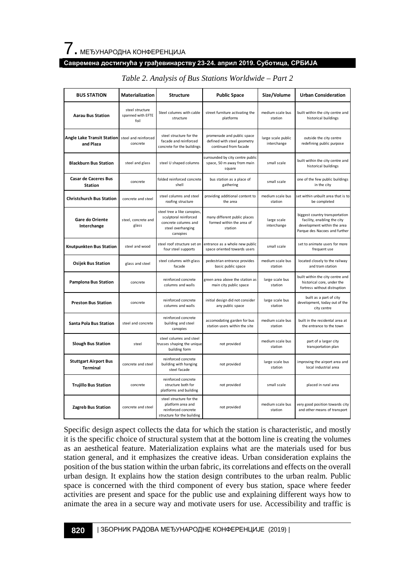### **Савремена достигнућа у грађевинарству 23-24. април 2019. Суботица, СРБИЈА**

| <b>BUS STATION</b>                             | <b>Materialization</b>                       | Structure                                                                                                     | <b>Public Space</b>                                                                | Size/Volume                       | <b>Urban Consideration</b>                                                                                                    |
|------------------------------------------------|----------------------------------------------|---------------------------------------------------------------------------------------------------------------|------------------------------------------------------------------------------------|-----------------------------------|-------------------------------------------------------------------------------------------------------------------------------|
| <b>Aarau Bus Station</b>                       | steel structure<br>spanned with EFTE<br>foil | Steel columns with cable<br>structure                                                                         | street furniture activating the<br>platforms                                       | medium scale bus<br>station       | built within the city centre and<br>historical buildings                                                                      |
| <b>Angle Lake Transit Station</b><br>and Plaza | steel and reinforced<br>concrete             | steel structure for the<br>facade and reinforced<br>concrete for the buildings                                | promenade and public space<br>defined with steel geometry<br>continued from facade | large scale public<br>interchange | outside the city centre<br>redefining public purpose                                                                          |
| <b>Blackburn Bus Station</b>                   | steel and glass                              | steel U shaped columns                                                                                        | surrounded by city centre public<br>space, 50 m away from main<br>square           | small scale                       | built within the city centre and<br>historical buildings                                                                      |
| <b>Casar de Caceres Bus</b><br><b>Station</b>  | concrete                                     | folded reinforced concrete<br>shell                                                                           | bus station as a place of<br>gathering                                             | small scale                       | one of the few public buildings<br>in the city                                                                                |
| <b>Christchurch Bus Station</b>                | concrete and steel                           | steel columns and steel<br>roofing structure                                                                  | providing additional content to<br>the area                                        | medium scale bus<br>station       | set within unbuilt area that is to<br>be completed                                                                            |
| Gare do Oriente<br>Interchange                 | steel, concrete and<br>glass                 | steel tree a like canopies,<br>sculptoral reinforced<br>concrete columns and<br>steel overhanging<br>canopies | many different public places<br>formed within the area of<br>station               | large scale<br>interchange        | biggest country transportation<br>facility, enabling the city<br>development within the area<br>Parque des Nacoes and further |
| Knutpunkten Bus Station                        | steel and wood                               | steel roof structure set on<br>four steel supports                                                            | entrance as a whole new public<br>space oriented towards users                     | small scale                       | set to animate users for more<br>frequent use                                                                                 |
| <b>Osijek Bus Station</b>                      | glass and steel                              | steel columns with glass<br>facade                                                                            | pedestrian entrance provides<br>basic public space                                 | medium scale bus<br>station       | located closely to the railway<br>and tram station                                                                            |
| <b>Pamplona Bus Station</b>                    | concrete                                     | reinforced concrete<br>columns and walls                                                                      | green area above the station as<br>main city public space                          | large scale bus<br>station        | built within the city centre and<br>historical core, under the<br>fortress without distruption                                |
| <b>Preston Bus Station</b>                     | concrete                                     | reinforced concrete<br>columns and walls                                                                      | initial design did not consider<br>any public space                                | large scale bus<br>station        | built as a part of city<br>development, today out of the<br>city centre                                                       |
| <b>Santa Pola Bus Station</b>                  | steel and concrete                           | reinforced concrete<br>building and steel<br>canopies                                                         | accomodating garden for bus<br>station users within the site                       | medium scale bus<br>station       | built in the residental area at<br>the entrance to the town                                                                   |
| <b>Slough Bus Station</b>                      | steel                                        | steel columns and steel<br>trusses shaping the unique<br>building form                                        | not provided                                                                       | medium scale bus<br>station       | part of a larger city<br>transportation plan                                                                                  |
| <b>Stuttgart Airport Bus</b><br>Terminal       | concrete and steel                           | reinforced concrete<br>building with hanging<br>steel facade                                                  | not provided                                                                       | large scale bus<br>station        | improving the airport area and<br>local industrial area                                                                       |
| <b>Trujillo Bus Station</b>                    | concrete                                     | reinforced concrete<br>structure both for<br>platforms and building                                           | not provided                                                                       | small scale                       | placed in rural area                                                                                                          |
| <b>Zagreb Bus Station</b>                      | concrete and steel                           | steel structure for the<br>platform area and<br>reinforced concrete<br>structure for the building             | not provided                                                                       | medium scale bus<br>station       | very good position towards city<br>and other means of transport                                                               |

#### *Table 2. Analysis of Bus Stations Worldwide – Part 2*

Specific design aspect collects the data for which the station is characteristic, and mostly it is the specific choice of structural system that at the bottom line is creating the volumes as an aesthetical feature. Materialization explains what are the materials used for bus station general, and it emphasizes the creative ideas. Urban consideration explains the position of the bus station within the urban fabric, its correlations and effects on the overall urban design. It explains how the station design contributes to the urban realm. Public space is concerned with the third component of every bus station, space where feeder activities are present and space for the public use and explaining different ways how to animate the area in a secure way and motivate users for use. Accessibility and traffic is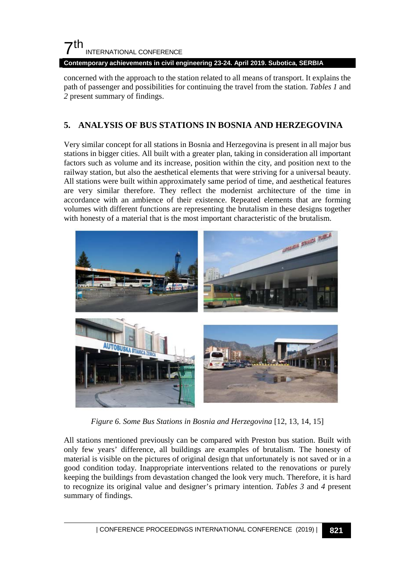

**Contemporary achievements in civil engineering 23-24. April 2019. Subotica, SERBIA**

concerned with the approach to the station related to all means of transport. It explains the path of passenger and possibilities for continuing the travel from the station. *Tables 1* and *2* present summary of findings.

## **5. ANALYSIS OF BUS STATIONS IN BOSNIA AND HERZEGOVINA**

Very similar concept for all stations in Bosnia and Herzegovina is present in all major bus stations in bigger cities. All built with a greater plan, taking in consideration all important factors such as volume and its increase, position within the city, and position next to the railway station, but also the aesthetical elements that were striving for a universal beauty. All stations were built within approximately same period of time, and aesthetical features are very similar therefore. They reflect the modernist architecture of the time in accordance with an ambience of their existence. Repeated elements that are forming volumes with different functions are representing the brutalism in these designs together with honesty of a material that is the most important characteristic of the brutalism.



*Figure 6. Some Bus Stations in Bosnia and Herzegovina* [12, 13, 14, 15]

All stations mentioned previously can be compared with Preston bus station. Built with only few years' difference, all buildings are examples of brutalism. The honesty of material is visible on the pictures of original design that unfortunately is not saved or in a good condition today. Inappropriate interventions related to the renovations or purely keeping the buildings from devastation changed the look very much. Therefore, it is hard to recognize its original value and designer's primary intention. *Tables 3* and *4* present summary of findings.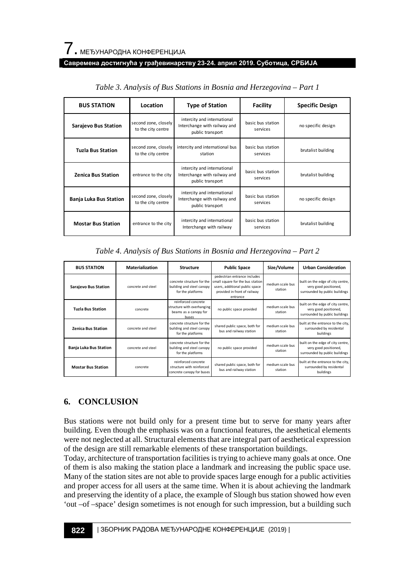#### **Савремена достигнућа у грађевинарству 23-24. април 2019. Суботица, СРБИЈА**

| <b>BUS STATION</b>            | <b>Type of Station</b><br>Location         |                                                                                 | <b>Facility</b>               | <b>Specific Design</b> |  |
|-------------------------------|--------------------------------------------|---------------------------------------------------------------------------------|-------------------------------|------------------------|--|
| Sarajevo Bus Station          | second zone, closely<br>to the city centre | intercity and international<br>Interchange with railway and<br>public transport | basic bus station<br>services | no specific design     |  |
| <b>Tuzla Bus Station</b>      | second zone, closely<br>to the city centre | intercity and international bus<br>station                                      | basic bus station<br>services | brutalist building     |  |
| <b>Zenica Bus Station</b>     | entrance to the city                       | intercity and international<br>Interchange with railway and<br>public transport | basic bus station<br>services | brutalist building     |  |
| <b>Banja Luka Bus Station</b> | second zone, closely<br>to the city centre | intercity and international<br>Interchange with railway and<br>public transport | basic bus station<br>services | no specific design     |  |
| <b>Mostar Bus Station</b>     | entrance to the city                       | intercity and international<br>Interchange with railway                         | basic bus station<br>services | brutalist building     |  |

*Table 3. Analysis of Bus Stations in Bosnia and Herzegovina – Part 1*

| <b>BUS STATION</b>            | <b>Materialization</b> | <b>Structure</b>                                                                    | <b>Public Space</b>                                                                                                                            | Size/Volume                 | <b>Urban Consideration</b>                                                                   |
|-------------------------------|------------------------|-------------------------------------------------------------------------------------|------------------------------------------------------------------------------------------------------------------------------------------------|-----------------------------|----------------------------------------------------------------------------------------------|
| <b>Sarajevo Bus Station</b>   | concrete and steel     | concrete structure for the<br>building and steel canopy<br>for the platforms        | pedestrian entrance includes<br>small square for the bus station<br>users, additional public space<br>provided in front of railway<br>entrance | medium scale bus<br>station | built on the edge of city centre,<br>very good positioned,<br>surrounded by public buildings |
| <b>Tuzla Bus Station</b>      | concrete               | reinforced concrete<br>structure with overhanging<br>beams as a canopy for<br>buses | no public space provided                                                                                                                       | medium scale bus<br>station | built on the edge of city centre,<br>very good positioned,<br>surrounded by public buildings |
| <b>Zenica Bus Station</b>     | concrete and steel     | concrete structure for the<br>building and steel canopy<br>for the platforms        | shared public space, both for<br>bus and railway station                                                                                       | medium scale bus<br>station | built at the entrance to the city,<br>surrounded by residental<br>buildings                  |
| <b>Banja Luka Bus Station</b> | concrete and steel     | concrete structure for the<br>building and steel canopy<br>for the platforms        | no public space provided                                                                                                                       | medium scale bus<br>station | built on the edge of city centre,<br>very good positioned,<br>surrounded by public buildings |
| <b>Mostar Bus Station</b>     | concrete               | reinforced concrete<br>structure with reinforced<br>concrete canopy for buses       | shared public space, both for<br>bus and railway station                                                                                       | medium scale bus<br>station | built at the entrance to the city,<br>surrounded by residental<br>buildings                  |

## **6. CONCLUSION**

Bus stations were not build only for a present time but to serve for many years after building. Even though the emphasis was on a functional features, the aesthetical elements were not neglected at all. Structural elements that are integral part of aesthetical expression of the design are still remarkable elements of these transportation buildings.

Today, architecture of transportation facilities is trying to achieve many goals at once. One of them is also making the station place a landmark and increasing the public space use. Many of the station sites are not able to provide spaces large enough for a public activities and proper access for all users at the same time. When it is about achieving the landmark and preserving the identity of a place, the example of Slough bus station showed how even 'out –of –space' design sometimes is not enough for such impression, but a building such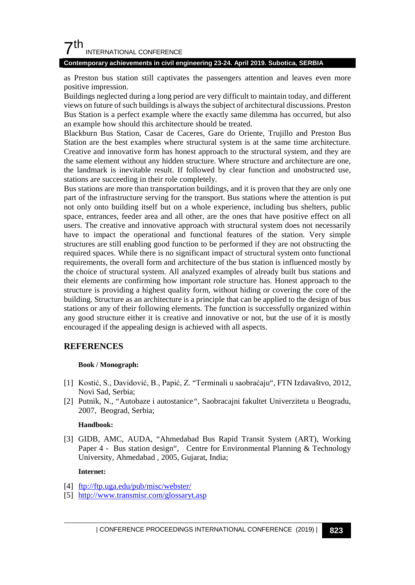## $7<sup>th</sup>$ INTERNATIONAL CONFERENCE

#### **Contemporary achievements in civil engineering 23-24. April 2019. Subotica, SERBIA**

as Preston bus station still captivates the passengers attention and leaves even more positive impression.

Buildings neglected during a long period are very difficult to maintain today, and different views on future of such buildings is always the subject of architectural discussions. Preston Bus Station is a perfect example where the exactly same dilemma has occurred, but also an example how should this architecture should be treated.

Blackburn Bus Station, Casar de Caceres, Gare do Oriente, Trujillo and Preston Bus Station are the best examples where structural system is at the same time architecture. Creative and innovative form has honest approach to the structural system, and they are the same element without any hidden structure. Where structure and architecture are one, the landmark is inevitable result. If followed by clear function and unobstructed use, stations are succeeding in their role completely.

Bus stations are more than transportation buildings, and it is proven that they are only one part of the infrastructure serving for the transport. Bus stations where the attention is put not only onto building itself but on a whole experience, including bus shelters, public space, entrances, feeder area and all other, are the ones that have positive effect on all users. The creative and innovative approach with structural system does not necessarily have to impact the operational and functional features of the station. Very simple structures are still enabling good function to be performed if they are not obstructing the required spaces. While there is no significant impact of structural system onto functional requirements, the overall form and architecture of the bus station is influenced mostly by the choice of structural system. All analyzed examples of already built bus stations and their elements are confirming how important role structure has. Honest approach to the structure is providing a highest quality form, without hiding or covering the core of the building. Structure as an architecture is a principle that can be applied to the design of bus stations or any of their following elements. The function is successfully organized within any good structure either it is creative and innovative or not, but the use of it is mostly encouraged if the appealing design is achieved with all aspects.

## **REFERENCES**

#### **Book / Monograph:**

- [1] Kostić, S., Davidović, B., Papić, Z. "Terminali u saobraćaju"*,* FTN Izdavaštvo, 2012, Novi Sad, Serbia;
- [2] Putnik, N., "Autobaze i autostanice*"*, Saobracajni fakultet Univerziteta u Beogradu, 2007, Beograd, Serbia;

#### **Handbook:**

[3] GIDB, AMC, AUDA, "Ahmedabad Bus Rapid Transit System (ART), Working Paper 4 - Bus station design", Centre for Environmental Planning & Technology University, Ahmedabad , 2005, Gujarat, India;

#### **Internet:**

- [4] <ftp://ftp.uga.edu/pub/misc/webster/>
- [5] <http://www.transmisr.com/glossaryt.asp>